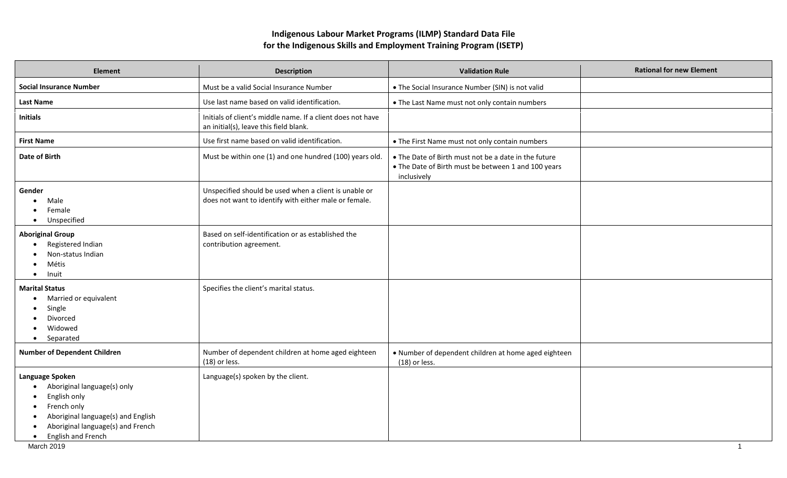## **Indigenous Labour Market Programs (ILMP) Standard Data File for the Indigenous Skills and Employment Training Program (ISETP)**

| <b>Element</b>                                                                                                                                                                 | <b>Description</b>                                                                                             | <b>Validation Rule</b>                                                                                                     | <b>Rational for new Element</b> |
|--------------------------------------------------------------------------------------------------------------------------------------------------------------------------------|----------------------------------------------------------------------------------------------------------------|----------------------------------------------------------------------------------------------------------------------------|---------------------------------|
| <b>Social Insurance Number</b>                                                                                                                                                 | Must be a valid Social Insurance Number                                                                        | • The Social Insurance Number (SIN) is not valid                                                                           |                                 |
| <b>Last Name</b>                                                                                                                                                               | Use last name based on valid identification.                                                                   | • The Last Name must not only contain numbers                                                                              |                                 |
| <b>Initials</b>                                                                                                                                                                | Initials of client's middle name. If a client does not have<br>an initial(s), leave this field blank.          |                                                                                                                            |                                 |
| <b>First Name</b>                                                                                                                                                              | Use first name based on valid identification.                                                                  | • The First Name must not only contain numbers                                                                             |                                 |
| <b>Date of Birth</b>                                                                                                                                                           | Must be within one (1) and one hundred (100) years old.                                                        | • The Date of Birth must not be a date in the future<br>• The Date of Birth must be between 1 and 100 years<br>inclusively |                                 |
| Gender<br>Male<br>Female<br>Unspecified<br>$\bullet$                                                                                                                           | Unspecified should be used when a client is unable or<br>does not want to identify with either male or female. |                                                                                                                            |                                 |
| <b>Aboriginal Group</b><br>Registered Indian<br>Non-status Indian<br>Métis<br>Inuit<br>$\bullet$                                                                               | Based on self-identification or as established the<br>contribution agreement.                                  |                                                                                                                            |                                 |
| <b>Marital Status</b><br>Married or equivalent<br>Single<br>Divorced<br>Widowed<br>Separated<br>$\bullet$                                                                      | Specifies the client's marital status.                                                                         |                                                                                                                            |                                 |
| <b>Number of Dependent Children</b>                                                                                                                                            | Number of dependent children at home aged eighteen<br>$(18)$ or less.                                          | . Number of dependent children at home aged eighteen<br>$(18)$ or less.                                                    |                                 |
| Language Spoken<br>Aboriginal language(s) only<br>English only<br>French only<br>Aboriginal language(s) and English<br>Aboriginal language(s) and French<br>English and French | Language(s) spoken by the client.                                                                              |                                                                                                                            |                                 |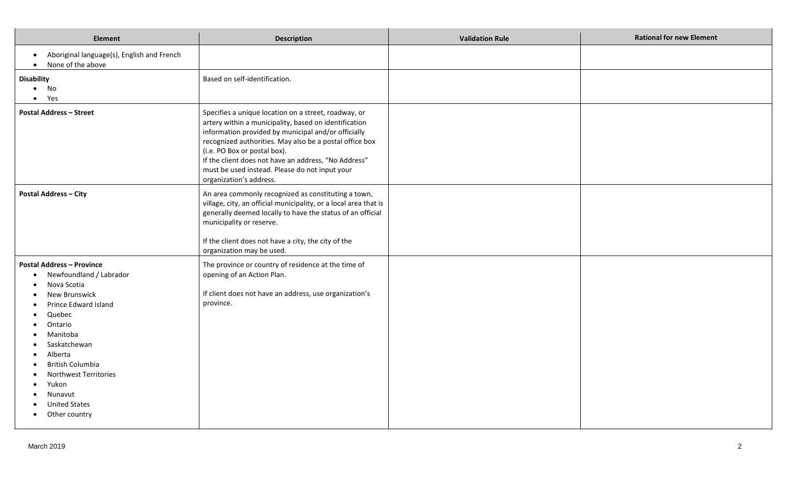| <b>Element</b>                                                                                                                                                                                                                                                                                         | <b>Description</b>                                                                                                                                                                                                                                                                                                                                                                                   | <b>Validation Rule</b> | <b>Rational for new Element</b> |
|--------------------------------------------------------------------------------------------------------------------------------------------------------------------------------------------------------------------------------------------------------------------------------------------------------|------------------------------------------------------------------------------------------------------------------------------------------------------------------------------------------------------------------------------------------------------------------------------------------------------------------------------------------------------------------------------------------------------|------------------------|---------------------------------|
| Aboriginal language(s), English and French<br>$\bullet$<br>None of the above<br>$\bullet$                                                                                                                                                                                                              |                                                                                                                                                                                                                                                                                                                                                                                                      |                        |                                 |
| <b>Disability</b><br>No<br>$\bullet$<br>Yes<br>$\bullet$                                                                                                                                                                                                                                               | Based on self-identification.                                                                                                                                                                                                                                                                                                                                                                        |                        |                                 |
| <b>Postal Address - Street</b>                                                                                                                                                                                                                                                                         | Specifies a unique location on a street, roadway, or<br>artery within a municipality, based on identification<br>information provided by municipal and/or officially<br>recognized authorities. May also be a postal office box<br>(i.e. PO Box or postal box).<br>If the client does not have an address, "No Address"<br>must be used instead. Please do not input your<br>organization's address. |                        |                                 |
| <b>Postal Address - City</b>                                                                                                                                                                                                                                                                           | An area commonly recognized as constituting a town,<br>village, city, an official municipality, or a local area that is<br>generally deemed locally to have the status of an official<br>municipality or reserve.<br>If the client does not have a city, the city of the<br>organization may be used.                                                                                                |                        |                                 |
| <b>Postal Address - Province</b><br>Newfoundland / Labrador<br>Nova Scotia<br>New Brunswick<br>Prince Edward Island<br>Quebec<br>Ontario<br>Manitoba<br>Saskatchewan<br>Alberta<br>British Columbia<br>Northwest Territories<br>Yukon<br>Nunavut<br><b>United States</b><br>Other country<br>$\bullet$ | The province or country of residence at the time of<br>opening of an Action Plan.<br>If client does not have an address, use organization's<br>province.                                                                                                                                                                                                                                             |                        |                                 |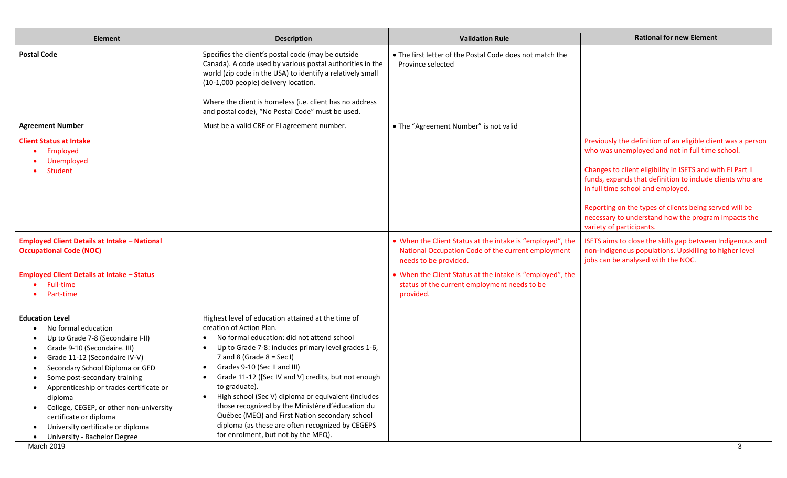| <b>Element</b>                                                                                                                                                                                                                                                                                                                                                                                                         | <b>Description</b>                                                                                                                                                                                                                                                                                                                                                                                                                                                                                                                                                                                                                      | <b>Validation Rule</b>                                                                                                                   | <b>Rational for new Element</b>                                                                                                                                                                                                                                                                                                                                                                                              |
|------------------------------------------------------------------------------------------------------------------------------------------------------------------------------------------------------------------------------------------------------------------------------------------------------------------------------------------------------------------------------------------------------------------------|-----------------------------------------------------------------------------------------------------------------------------------------------------------------------------------------------------------------------------------------------------------------------------------------------------------------------------------------------------------------------------------------------------------------------------------------------------------------------------------------------------------------------------------------------------------------------------------------------------------------------------------------|------------------------------------------------------------------------------------------------------------------------------------------|------------------------------------------------------------------------------------------------------------------------------------------------------------------------------------------------------------------------------------------------------------------------------------------------------------------------------------------------------------------------------------------------------------------------------|
| <b>Postal Code</b>                                                                                                                                                                                                                                                                                                                                                                                                     | Specifies the client's postal code (may be outside<br>Canada). A code used by various postal authorities in the<br>world (zip code in the USA) to identify a relatively small<br>(10-1,000 people) delivery location.<br>Where the client is homeless (i.e. client has no address                                                                                                                                                                                                                                                                                                                                                       | • The first letter of the Postal Code does not match the<br>Province selected                                                            |                                                                                                                                                                                                                                                                                                                                                                                                                              |
|                                                                                                                                                                                                                                                                                                                                                                                                                        | and postal code), "No Postal Code" must be used.                                                                                                                                                                                                                                                                                                                                                                                                                                                                                                                                                                                        |                                                                                                                                          |                                                                                                                                                                                                                                                                                                                                                                                                                              |
| <b>Agreement Number</b>                                                                                                                                                                                                                                                                                                                                                                                                | Must be a valid CRF or EI agreement number.                                                                                                                                                                                                                                                                                                                                                                                                                                                                                                                                                                                             | • The "Agreement Number" is not valid                                                                                                    |                                                                                                                                                                                                                                                                                                                                                                                                                              |
| <b>Client Status at Intake</b><br>Employed<br>Unemployed<br>Student                                                                                                                                                                                                                                                                                                                                                    |                                                                                                                                                                                                                                                                                                                                                                                                                                                                                                                                                                                                                                         |                                                                                                                                          | Previously the definition of an eligible client was a person<br>who was unemployed and not in full time school.<br>Changes to client eligibility in ISETS and with EI Part II<br>funds, expands that definition to include clients who are<br>in full time school and employed.<br>Reporting on the types of clients being served will be<br>necessary to understand how the program impacts the<br>variety of participants. |
| <b>Employed Client Details at Intake - National</b><br><b>Occupational Code (NOC)</b>                                                                                                                                                                                                                                                                                                                                  |                                                                                                                                                                                                                                                                                                                                                                                                                                                                                                                                                                                                                                         | • When the Client Status at the intake is "employed", the<br>National Occupation Code of the current employment<br>needs to be provided. | ISETS aims to close the skills gap between Indigenous and<br>non-Indigenous populations. Upskilling to higher level<br>jobs can be analysed with the NOC.                                                                                                                                                                                                                                                                    |
| <b>Employed Client Details at Intake - Status</b><br><b>Full-time</b><br>Part-time                                                                                                                                                                                                                                                                                                                                     |                                                                                                                                                                                                                                                                                                                                                                                                                                                                                                                                                                                                                                         | • When the Client Status at the intake is "employed", the<br>status of the current employment needs to be<br>provided.                   |                                                                                                                                                                                                                                                                                                                                                                                                                              |
| <b>Education Level</b><br>No formal education<br>Up to Grade 7-8 (Secondaire I-II)<br>Grade 9-10 (Secondaire. III)<br>Grade 11-12 (Secondaire IV-V)<br>Secondary School Diploma or GED<br>Some post-secondary training<br>Apprenticeship or trades certificate or<br>diploma<br>College, CEGEP, or other non-university<br>certificate or diploma<br>University certificate or diploma<br>University - Bachelor Degree | Highest level of education attained at the time of<br>creation of Action Plan.<br>No formal education: did not attend school<br>Up to Grade 7-8: includes primary level grades 1-6,<br>$\bullet$<br>7 and 8 (Grade $8 = Sec 1$ )<br>Grades 9-10 (Sec II and III)<br>$\bullet$<br>Grade 11-12 ([Sec IV and V] credits, but not enough<br>$\bullet$<br>to graduate).<br>High school (Sec V) diploma or equivalent (includes<br>$\bullet$<br>those recognized by the Ministère d'éducation du<br>Québec (MEQ) and First Nation secondary school<br>diploma (as these are often recognized by CEGEPS<br>for enrolment, but not by the MEQ). |                                                                                                                                          |                                                                                                                                                                                                                                                                                                                                                                                                                              |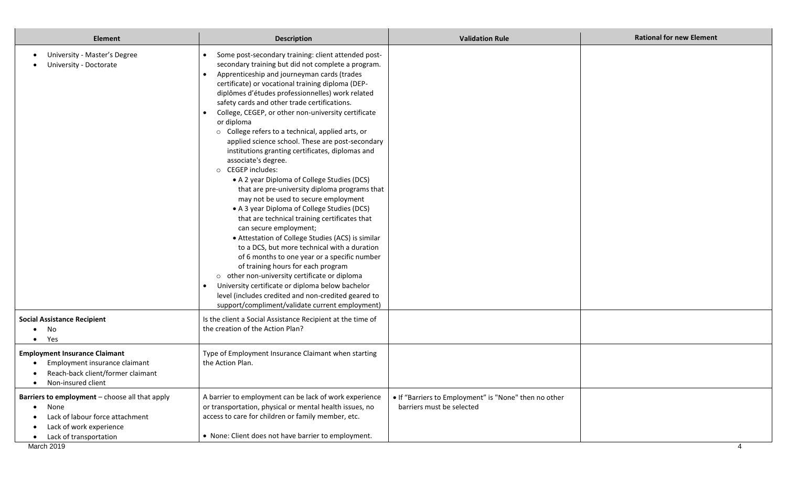| <b>Element</b>                                                                                                                                              | <b>Description</b>                                                                                                                                                                                                                                                                                                                                                                                                                                                                                                                                                                                                                                                                                                                                                                                                                                                                                                                                                                                                                                                                                                                                                                                                                                                                                    | <b>Validation Rule</b>                                                             | <b>Rational for new Element</b> |
|-------------------------------------------------------------------------------------------------------------------------------------------------------------|-------------------------------------------------------------------------------------------------------------------------------------------------------------------------------------------------------------------------------------------------------------------------------------------------------------------------------------------------------------------------------------------------------------------------------------------------------------------------------------------------------------------------------------------------------------------------------------------------------------------------------------------------------------------------------------------------------------------------------------------------------------------------------------------------------------------------------------------------------------------------------------------------------------------------------------------------------------------------------------------------------------------------------------------------------------------------------------------------------------------------------------------------------------------------------------------------------------------------------------------------------------------------------------------------------|------------------------------------------------------------------------------------|---------------------------------|
| University - Master's Degree<br>University - Doctorate                                                                                                      | Some post-secondary training: client attended post-<br>secondary training but did not complete a program.<br>Apprenticeship and journeyman cards (trades<br>$\bullet$<br>certificate) or vocational training diploma (DEP-<br>diplômes d'études professionnelles) work related<br>safety cards and other trade certifications.<br>College, CEGEP, or other non-university certificate<br>or diploma<br>o College refers to a technical, applied arts, or<br>applied science school. These are post-secondary<br>institutions granting certificates, diplomas and<br>associate's degree.<br>O CEGEP includes:<br>• A 2 year Diploma of College Studies (DCS)<br>that are pre-university diploma programs that<br>may not be used to secure employment<br>• A 3 year Diploma of College Studies (DCS)<br>that are technical training certificates that<br>can secure employment;<br>• Attestation of College Studies (ACS) is similar<br>to a DCS, but more technical with a duration<br>of 6 months to one year or a specific number<br>of training hours for each program<br>o other non-university certificate or diploma<br>University certificate or diploma below bachelor<br>$\bullet$<br>level (includes credited and non-credited geared to<br>support/compliment/validate current employment) |                                                                                    |                                 |
| <b>Social Assistance Recipient</b><br>No<br>Yes<br>$\bullet$                                                                                                | Is the client a Social Assistance Recipient at the time of<br>the creation of the Action Plan?                                                                                                                                                                                                                                                                                                                                                                                                                                                                                                                                                                                                                                                                                                                                                                                                                                                                                                                                                                                                                                                                                                                                                                                                        |                                                                                    |                                 |
| <b>Employment Insurance Claimant</b><br>Employment insurance claimant<br>Reach-back client/former claimant<br>Non-insured client<br>$\bullet$               | Type of Employment Insurance Claimant when starting<br>the Action Plan.                                                                                                                                                                                                                                                                                                                                                                                                                                                                                                                                                                                                                                                                                                                                                                                                                                                                                                                                                                                                                                                                                                                                                                                                                               |                                                                                    |                                 |
| Barriers to employment - choose all that apply<br>None<br>$\bullet$<br>Lack of labour force attachment<br>Lack of work experience<br>Lack of transportation | A barrier to employment can be lack of work experience<br>or transportation, physical or mental health issues, no<br>access to care for children or family member, etc.<br>• None: Client does not have barrier to employment.                                                                                                                                                                                                                                                                                                                                                                                                                                                                                                                                                                                                                                                                                                                                                                                                                                                                                                                                                                                                                                                                        | . If "Barriers to Employment" is "None" then no other<br>barriers must be selected |                                 |
| March 2019                                                                                                                                                  |                                                                                                                                                                                                                                                                                                                                                                                                                                                                                                                                                                                                                                                                                                                                                                                                                                                                                                                                                                                                                                                                                                                                                                                                                                                                                                       |                                                                                    | Δ                               |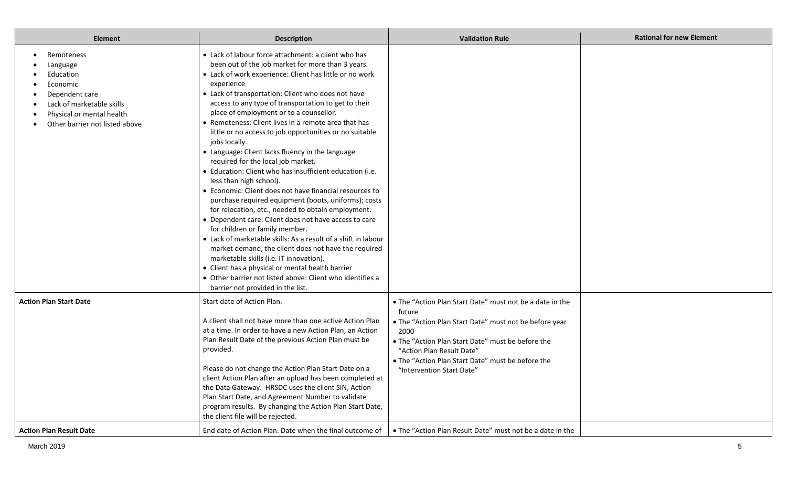| <b>Element</b>                                                                                                                                                             | <b>Description</b>                                                                                                                                                                                                                                                                                                                                                                                                                                                                                                                                                                                                                                                                                                                                                                                                                                                                                                                                                                                                                                                                                                                                                                                                                                            | <b>Validation Rule</b>                                                                                                                                                                                                                                                                                   | <b>Rational for new Element</b> |
|----------------------------------------------------------------------------------------------------------------------------------------------------------------------------|---------------------------------------------------------------------------------------------------------------------------------------------------------------------------------------------------------------------------------------------------------------------------------------------------------------------------------------------------------------------------------------------------------------------------------------------------------------------------------------------------------------------------------------------------------------------------------------------------------------------------------------------------------------------------------------------------------------------------------------------------------------------------------------------------------------------------------------------------------------------------------------------------------------------------------------------------------------------------------------------------------------------------------------------------------------------------------------------------------------------------------------------------------------------------------------------------------------------------------------------------------------|----------------------------------------------------------------------------------------------------------------------------------------------------------------------------------------------------------------------------------------------------------------------------------------------------------|---------------------------------|
| Remoteness<br>$\bullet$<br>Language<br>Education<br>Economic<br>Dependent care<br>Lack of marketable skills<br>Physical or mental health<br>Other barrier not listed above | • Lack of labour force attachment: a client who has<br>been out of the job market for more than 3 years.<br>• Lack of work experience: Client has little or no work<br>experience<br>• Lack of transportation: Client who does not have<br>access to any type of transportation to get to their<br>place of employment or to a counsellor.<br>• Remoteness: Client lives in a remote area that has<br>little or no access to job opportunities or no suitable<br>jobs locally.<br>• Language: Client lacks fluency in the language<br>required for the local job market.<br>• Education: Client who has insufficient education (i.e.<br>less than high school).<br>• Economic: Client does not have financial resources to<br>purchase required equipment (boots, uniforms); costs<br>for relocation, etc., needed to obtain employment.<br>• Dependent care: Client does not have access to care<br>for children or family member.<br>• Lack of marketable skills: As a result of a shift in labour<br>market demand, the client does not have the required<br>marketable skills (i.e. IT innovation).<br>• Client has a physical or mental health barrier<br>• Other barrier not listed above: Client who identifies a<br>barrier not provided in the list. |                                                                                                                                                                                                                                                                                                          |                                 |
| <b>Action Plan Start Date</b>                                                                                                                                              | Start date of Action Plan.<br>A client shall not have more than one active Action Plan<br>at a time. In order to have a new Action Plan, an Action<br>Plan Result Date of the previous Action Plan must be<br>provided.<br>Please do not change the Action Plan Start Date on a<br>client Action Plan after an upload has been completed at<br>the Data Gateway. HRSDC uses the client SIN, Action<br>Plan Start Date, and Agreement Number to validate<br>program results. By changing the Action Plan Start Date,<br>the client file will be rejected.                                                                                                                                                                                                                                                                                                                                                                                                                                                                                                                                                                                                                                                                                                      | • The "Action Plan Start Date" must not be a date in the<br>future<br>. The "Action Plan Start Date" must not be before year<br>2000<br>. The "Action Plan Start Date" must be before the<br>"Action Plan Result Date"<br>• The "Action Plan Start Date" must be before the<br>"Intervention Start Date" |                                 |
| <b>Action Plan Result Date</b>                                                                                                                                             | End date of Action Plan. Date when the final outcome of                                                                                                                                                                                                                                                                                                                                                                                                                                                                                                                                                                                                                                                                                                                                                                                                                                                                                                                                                                                                                                                                                                                                                                                                       | . The "Action Plan Result Date" must not be a date in the                                                                                                                                                                                                                                                |                                 |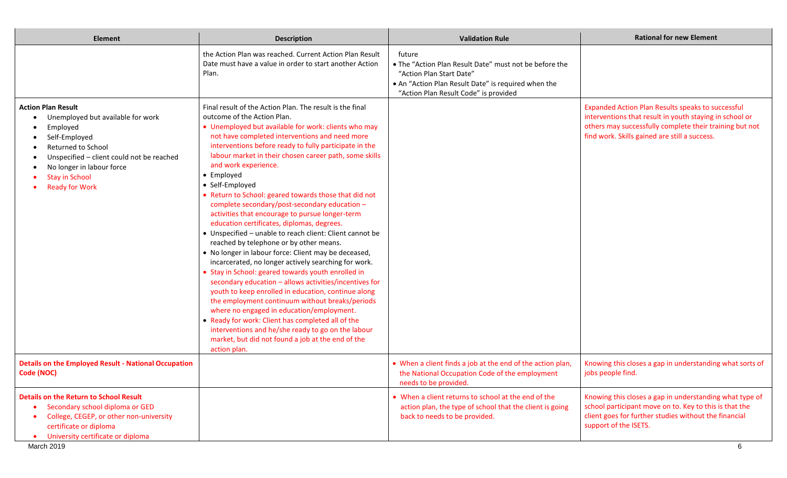| <b>Element</b>                                                                                                                                                                                                                                       | <b>Description</b>                                                                                                                                                                                                                                                                                                                                                                                                                                                                                                                                                                                                                                                                                                                                                                                                                                                                                                                                                                                                                                                                                                                                                                                                                                                      | <b>Validation Rule</b>                                                                                                                                                                       | <b>Rational for new Element</b>                                                                                                                                                                                                 |
|------------------------------------------------------------------------------------------------------------------------------------------------------------------------------------------------------------------------------------------------------|-------------------------------------------------------------------------------------------------------------------------------------------------------------------------------------------------------------------------------------------------------------------------------------------------------------------------------------------------------------------------------------------------------------------------------------------------------------------------------------------------------------------------------------------------------------------------------------------------------------------------------------------------------------------------------------------------------------------------------------------------------------------------------------------------------------------------------------------------------------------------------------------------------------------------------------------------------------------------------------------------------------------------------------------------------------------------------------------------------------------------------------------------------------------------------------------------------------------------------------------------------------------------|----------------------------------------------------------------------------------------------------------------------------------------------------------------------------------------------|---------------------------------------------------------------------------------------------------------------------------------------------------------------------------------------------------------------------------------|
|                                                                                                                                                                                                                                                      | the Action Plan was reached. Current Action Plan Result<br>Date must have a value in order to start another Action<br>Plan.                                                                                                                                                                                                                                                                                                                                                                                                                                                                                                                                                                                                                                                                                                                                                                                                                                                                                                                                                                                                                                                                                                                                             | future<br>. The "Action Plan Result Date" must not be before the<br>"Action Plan Start Date"<br>• An "Action Plan Result Date" is required when the<br>"Action Plan Result Code" is provided |                                                                                                                                                                                                                                 |
| <b>Action Plan Result</b><br>Unemployed but available for work<br>Employed<br>Self-Employed<br><b>Returned to School</b><br>Unspecified - client could not be reached<br>No longer in labour force<br><b>Stay in School</b><br><b>Ready for Work</b> | Final result of the Action Plan. The result is the final<br>outcome of the Action Plan.<br>• Unemployed but available for work: clients who may<br>not have completed interventions and need more<br>interventions before ready to fully participate in the<br>labour market in their chosen career path, some skills<br>and work experience.<br>• Employed<br>• Self-Employed<br>• Return to School: geared towards those that did not<br>complete secondary/post-secondary education -<br>activities that encourage to pursue longer-term<br>education certificates, diplomas, degrees.<br>• Unspecified - unable to reach client: Client cannot be<br>reached by telephone or by other means.<br>• No longer in labour force: Client may be deceased,<br>incarcerated, no longer actively searching for work.<br>• Stay in School: geared towards youth enrolled in<br>secondary education - allows activities/incentives for<br>youth to keep enrolled in education, continue along<br>the employment continuum without breaks/periods<br>where no engaged in education/employment.<br>• Ready for work: Client has completed all of the<br>interventions and he/she ready to go on the labour<br>market, but did not found a job at the end of the<br>action plan. |                                                                                                                                                                                              | <b>Expanded Action Plan Results speaks to successful</b><br>interventions that result in youth staying in school or<br>others may successfully complete their training but not<br>find work. Skills gained are still a success. |
| <b>Details on the Employed Result - National Occupation</b><br>Code (NOC)                                                                                                                                                                            |                                                                                                                                                                                                                                                                                                                                                                                                                                                                                                                                                                                                                                                                                                                                                                                                                                                                                                                                                                                                                                                                                                                                                                                                                                                                         | • When a client finds a job at the end of the action plan,<br>the National Occupation Code of the employment<br>needs to be provided.                                                        | Knowing this closes a gap in understanding what sorts of<br>jobs people find.                                                                                                                                                   |
| <b>Details on the Return to School Result</b><br>Secondary school diploma or GED<br>$\bullet$<br>College, CEGEP, or other non-university<br>$\bullet$<br>certificate or diploma<br>University certificate or diploma                                 |                                                                                                                                                                                                                                                                                                                                                                                                                                                                                                                                                                                                                                                                                                                                                                                                                                                                                                                                                                                                                                                                                                                                                                                                                                                                         | • When a client returns to school at the end of the<br>action plan, the type of school that the client is going<br>back to needs to be provided.                                             | Knowing this closes a gap in understanding what type of<br>school participant move on to. Key to this is that the<br>client goes for further studies without the financial<br>support of the ISETS.                             |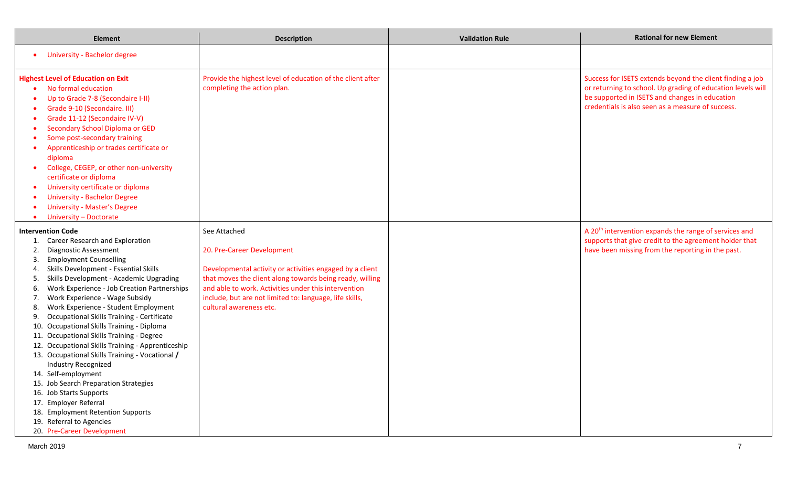| <b>Element</b>                                                                                                                                                                                                                                                                                                                                                                                                                                                                                                                                                                                                                                                                                                                                                                                                                                                                          | <b>Description</b>                                                                                                                                                                                                                                                                                               | <b>Validation Rule</b> | <b>Rational for new Element</b>                                                                                                                                                                                                 |
|-----------------------------------------------------------------------------------------------------------------------------------------------------------------------------------------------------------------------------------------------------------------------------------------------------------------------------------------------------------------------------------------------------------------------------------------------------------------------------------------------------------------------------------------------------------------------------------------------------------------------------------------------------------------------------------------------------------------------------------------------------------------------------------------------------------------------------------------------------------------------------------------|------------------------------------------------------------------------------------------------------------------------------------------------------------------------------------------------------------------------------------------------------------------------------------------------------------------|------------------------|---------------------------------------------------------------------------------------------------------------------------------------------------------------------------------------------------------------------------------|
| <b>University - Bachelor degree</b><br>$\bullet$                                                                                                                                                                                                                                                                                                                                                                                                                                                                                                                                                                                                                                                                                                                                                                                                                                        |                                                                                                                                                                                                                                                                                                                  |                        |                                                                                                                                                                                                                                 |
| <b>Highest Level of Education on Exit</b><br>No formal education<br>Up to Grade 7-8 (Secondaire I-II)<br>$\bullet$<br>Grade 9-10 (Secondaire. III)<br>$\bullet$<br>Grade 11-12 (Secondaire IV-V)<br>$\bullet$<br>Secondary School Diploma or GED<br>$\bullet$<br>Some post-secondary training<br>Apprenticeship or trades certificate or<br>$\bullet$<br>diploma<br>College, CEGEP, or other non-university<br>$\bullet$<br>certificate or diploma<br>University certificate or diploma<br>$\bullet$<br><b>University - Bachelor Degree</b><br><b>University - Master's Degree</b><br>$\bullet$<br>University - Doctorate<br>$\bullet$                                                                                                                                                                                                                                                  | Provide the highest level of education of the client after<br>completing the action plan.                                                                                                                                                                                                                        |                        | Success for ISETS extends beyond the client finding a job<br>or returning to school. Up grading of education levels will<br>be supported in ISETS and changes in education<br>credentials is also seen as a measure of success. |
| <b>Intervention Code</b><br>1. Career Research and Exploration<br><b>Diagnostic Assessment</b><br>2.<br><b>Employment Counselling</b><br>3.<br>Skills Development - Essential Skills<br>4.<br>Skills Development - Academic Upgrading<br>5.<br>Work Experience - Job Creation Partnerships<br>6.<br>Work Experience - Wage Subsidy<br>7.<br>Work Experience - Student Employment<br>8.<br>Occupational Skills Training - Certificate<br>9.<br>10. Occupational Skills Training - Diploma<br>11. Occupational Skills Training - Degree<br>12. Occupational Skills Training - Apprenticeship<br>13. Occupational Skills Training - Vocational /<br>Industry Recognized<br>14. Self-employment<br>15. Job Search Preparation Strategies<br>16. Job Starts Supports<br>17. Employer Referral<br>18. Employment Retention Supports<br>19. Referral to Agencies<br>20. Pre-Career Development | See Attached<br>20. Pre-Career Development<br>Developmental activity or activities engaged by a client<br>that moves the client along towards being ready, willing<br>and able to work. Activities under this intervention<br>include, but are not limited to: language, life skills,<br>cultural awareness etc. |                        | A 20 <sup>th</sup> intervention expands the range of services and<br>supports that give credit to the agreement holder that<br>have been missing from the reporting in the past.                                                |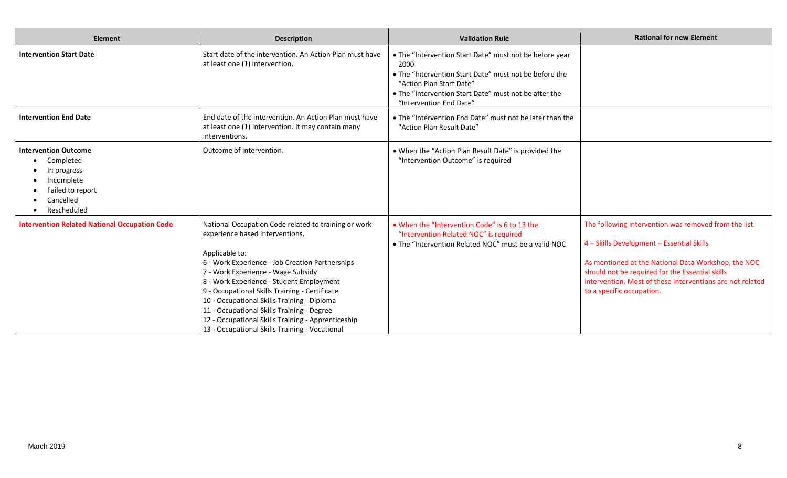| <b>Element</b>                                                                                                        | <b>Description</b>                                                                                                                                                                                                                                                                                                                                                                                                                                                                                    | <b>Validation Rule</b>                                                                                                                                                                                                                    | <b>Rational for new Element</b>                                                                                                                                                                                                                                                                        |
|-----------------------------------------------------------------------------------------------------------------------|-------------------------------------------------------------------------------------------------------------------------------------------------------------------------------------------------------------------------------------------------------------------------------------------------------------------------------------------------------------------------------------------------------------------------------------------------------------------------------------------------------|-------------------------------------------------------------------------------------------------------------------------------------------------------------------------------------------------------------------------------------------|--------------------------------------------------------------------------------------------------------------------------------------------------------------------------------------------------------------------------------------------------------------------------------------------------------|
| <b>Intervention Start Date</b>                                                                                        | Start date of the intervention. An Action Plan must have<br>at least one (1) intervention.                                                                                                                                                                                                                                                                                                                                                                                                            | . The "Intervention Start Date" must not be before year<br>2000<br>. The "Intervention Start Date" must not be before the<br>"Action Plan Start Date"<br>. The "Intervention Start Date" must not be after the<br>"Intervention End Date" |                                                                                                                                                                                                                                                                                                        |
| <b>Intervention End Date</b>                                                                                          | End date of the intervention. An Action Plan must have<br>at least one (1) Intervention. It may contain many<br>interventions.                                                                                                                                                                                                                                                                                                                                                                        | • The "Intervention End Date" must not be later than the<br>"Action Plan Result Date"                                                                                                                                                     |                                                                                                                                                                                                                                                                                                        |
| <b>Intervention Outcome</b><br>Completed<br>In progress<br>Incomplete<br>Failed to report<br>Cancelled<br>Rescheduled | Outcome of Intervention.                                                                                                                                                                                                                                                                                                                                                                                                                                                                              | . When the "Action Plan Result Date" is provided the<br>"Intervention Outcome" is required                                                                                                                                                |                                                                                                                                                                                                                                                                                                        |
| <b>Intervention Related National Occupation Code</b>                                                                  | National Occupation Code related to training or work<br>experience based interventions.<br>Applicable to:<br>6 - Work Experience - Job Creation Partnerships<br>7 - Work Experience - Wage Subsidy<br>8 - Work Experience - Student Employment<br>9 - Occupational Skills Training - Certificate<br>10 - Occupational Skills Training - Diploma<br>11 - Occupational Skills Training - Degree<br>12 - Occupational Skills Training - Apprenticeship<br>13 - Occupational Skills Training - Vocational | • When the "Intervention Code" is 6 to 13 the<br>"Intervention Related NOC" is required<br>. The "Intervention Related NOC" must be a valid NOC                                                                                           | The following intervention was removed from the list.<br>4 - Skills Development - Essential Skills<br>As mentioned at the National Data Workshop, the NOC<br>should not be required for the Essential skills<br>intervention. Most of these interventions are not related<br>to a specific occupation. |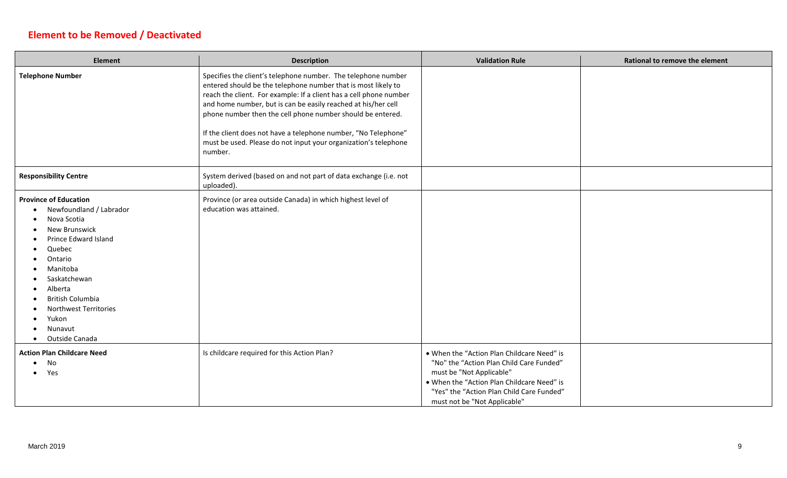## **Element to be Removed / Deactivated**

г

| <b>Element</b>                                                                                                                                                                                                                                                                            | <b>Description</b>                                                                                                                                                                                                                                                                                                                                                                                                                                                                  | <b>Validation Rule</b>                                                                                                                                                                                                                        | <b>Rational to remove the element</b> |
|-------------------------------------------------------------------------------------------------------------------------------------------------------------------------------------------------------------------------------------------------------------------------------------------|-------------------------------------------------------------------------------------------------------------------------------------------------------------------------------------------------------------------------------------------------------------------------------------------------------------------------------------------------------------------------------------------------------------------------------------------------------------------------------------|-----------------------------------------------------------------------------------------------------------------------------------------------------------------------------------------------------------------------------------------------|---------------------------------------|
| <b>Telephone Number</b>                                                                                                                                                                                                                                                                   | Specifies the client's telephone number. The telephone number<br>entered should be the telephone number that is most likely to<br>reach the client. For example: If a client has a cell phone number<br>and home number, but is can be easily reached at his/her cell<br>phone number then the cell phone number should be entered.<br>If the client does not have a telephone number, "No Telephone"<br>must be used. Please do not input your organization's telephone<br>number. |                                                                                                                                                                                                                                               |                                       |
| <b>Responsibility Centre</b>                                                                                                                                                                                                                                                              | System derived (based on and not part of data exchange (i.e. not<br>uploaded).                                                                                                                                                                                                                                                                                                                                                                                                      |                                                                                                                                                                                                                                               |                                       |
| <b>Province of Education</b><br>Newfoundland / Labrador<br>Nova Scotia<br>New Brunswick<br>Prince Edward Island<br>Quebec<br>Ontario<br>Manitoba<br>Saskatchewan<br>Alberta<br><b>British Columbia</b><br><b>Northwest Territories</b><br>Yukon<br>Nunavut<br>Outside Canada<br>$\bullet$ | Province (or area outside Canada) in which highest level of<br>education was attained.                                                                                                                                                                                                                                                                                                                                                                                              |                                                                                                                                                                                                                                               |                                       |
| <b>Action Plan Childcare Need</b><br>No<br>Yes                                                                                                                                                                                                                                            | Is childcare required for this Action Plan?                                                                                                                                                                                                                                                                                                                                                                                                                                         | . When the "Action Plan Childcare Need" is<br>"No" the "Action Plan Child Care Funded"<br>must be "Not Applicable"<br>. When the "Action Plan Childcare Need" is<br>"Yes" the "Action Plan Child Care Funded"<br>must not be "Not Applicable" |                                       |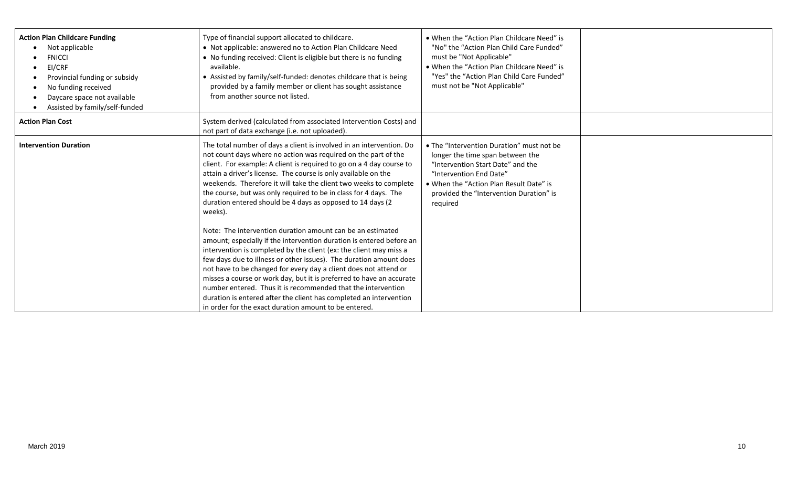| <b>Action Plan Childcare Funding</b><br>Not applicable<br><b>FNICCI</b><br>EI/CRF<br>Provincial funding or subsidy<br>No funding received<br>Daycare space not available<br>Assisted by family/self-funded | Type of financial support allocated to childcare.<br>• Not applicable: answered no to Action Plan Childcare Need<br>• No funding received: Client is eligible but there is no funding<br>available.<br>• Assisted by family/self-funded: denotes childcare that is being<br>provided by a family member or client has sought assistance<br>from another source not listed.                                                                                                                                                                                                                                                                                                                                                                                                                                                                                                                                                                                                                                                                                                                                                      | . When the "Action Plan Childcare Need" is<br>"No" the "Action Plan Child Care Funded"<br>must be "Not Applicable"<br>. When the "Action Plan Childcare Need" is<br>"Yes" the "Action Plan Child Care Funded"<br>must not be "Not Applicable"   |  |
|------------------------------------------------------------------------------------------------------------------------------------------------------------------------------------------------------------|---------------------------------------------------------------------------------------------------------------------------------------------------------------------------------------------------------------------------------------------------------------------------------------------------------------------------------------------------------------------------------------------------------------------------------------------------------------------------------------------------------------------------------------------------------------------------------------------------------------------------------------------------------------------------------------------------------------------------------------------------------------------------------------------------------------------------------------------------------------------------------------------------------------------------------------------------------------------------------------------------------------------------------------------------------------------------------------------------------------------------------|-------------------------------------------------------------------------------------------------------------------------------------------------------------------------------------------------------------------------------------------------|--|
| <b>Action Plan Cost</b>                                                                                                                                                                                    | System derived (calculated from associated Intervention Costs) and<br>not part of data exchange (i.e. not uploaded).                                                                                                                                                                                                                                                                                                                                                                                                                                                                                                                                                                                                                                                                                                                                                                                                                                                                                                                                                                                                            |                                                                                                                                                                                                                                                 |  |
| <b>Intervention Duration</b>                                                                                                                                                                               | The total number of days a client is involved in an intervention. Do<br>not count days where no action was required on the part of the<br>client. For example: A client is required to go on a 4 day course to<br>attain a driver's license. The course is only available on the<br>weekends. Therefore it will take the client two weeks to complete<br>the course, but was only required to be in class for 4 days. The<br>duration entered should be 4 days as opposed to 14 days (2<br>weeks).<br>Note: The intervention duration amount can be an estimated<br>amount; especially if the intervention duration is entered before an<br>intervention is completed by the client (ex: the client may miss a<br>few days due to illness or other issues). The duration amount does<br>not have to be changed for every day a client does not attend or<br>misses a course or work day, but it is preferred to have an accurate<br>number entered. Thus it is recommended that the intervention<br>duration is entered after the client has completed an intervention<br>in order for the exact duration amount to be entered. | • The "Intervention Duration" must not be<br>longer the time span between the<br>"Intervention Start Date" and the<br>"Intervention End Date"<br>• When the "Action Plan Result Date" is<br>provided the "Intervention Duration" is<br>required |  |